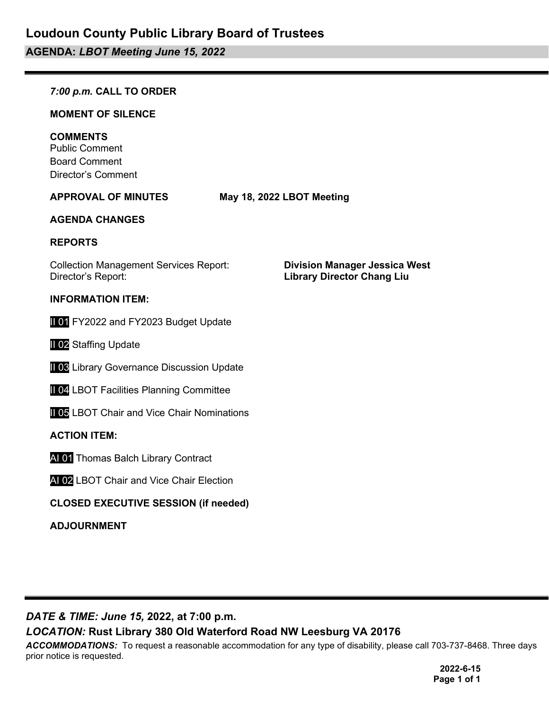# **AGENDA:** *LBOT Meeting June 15, 2022*

#### *7:00 p.m.* **CALL TO ORDER**

#### **MOMENT OF SILENCE**

#### **COMMENTS**

Public Comment Board Comment Director's Comment

**APPROVAL OF MINUTES May 18, 2022 LBOT Meeting**

#### **AGENDA CHANGES**

#### **REPORTS**

Collection Management Services Report: **Division Manager Jessica West**

#### **INFORMATION ITEM:**

II 01 FY2022 and FY2023 Budget Update

**II 02 Staffing Update** 

**II 03 Library Governance Discussion Update** 

**II 04 LBOT Facilities Planning Committee** 

**II 05 LBOT Chair and Vice Chair Nominations** 

#### **ACTION ITEM:**

AI 01 Thomas Balch Library Contract

AI 02 LBOT Chair and Vice Chair Election

#### **CLOSED EXECUTIVE SESSION (if needed)**

**ADJOURNMENT**

**Library Director Chang Liu** 

*DATE & TIME: June 15,* **2022, at 7:00 p.m.**

#### *LOCATION:* **Rust Library 380 Old Waterford Road NW Leesburg VA 20176**

*ACCOMMODATIONS:* To request a reasonable accommodation for any type of disability, please call 703-737-8468. Three days prior notice is requested.

> **2022-6-15 Page 1 of 1**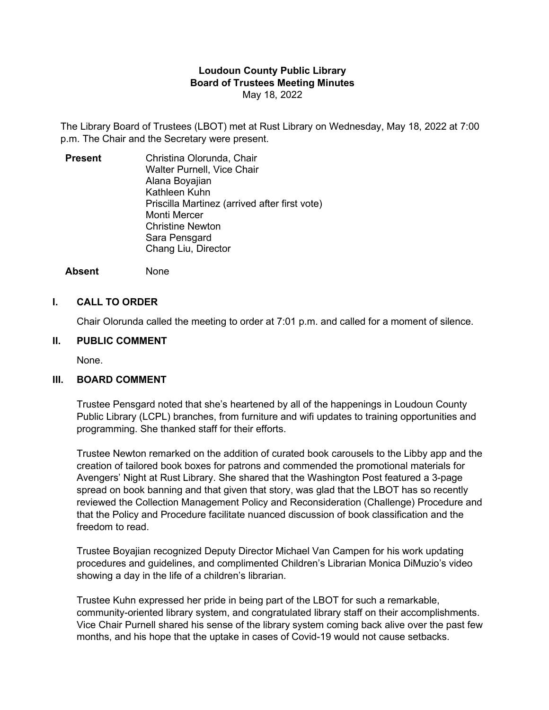#### **Loudoun County Public Library Board of Trustees Meeting Minutes** May 18, 2022

The Library Board of Trustees (LBOT) met at Rust Library on Wednesday, May 18, 2022 at 7:00 p.m. The Chair and the Secretary were present.

**Present** Christina Olorunda, Chair Walter Purnell, Vice Chair Alana Boyajian Kathleen Kuhn Priscilla Martinez (arrived after first vote) Monti Mercer Christine Newton Sara Pensgard Chang Liu, Director

**Absent** None

#### **I. CALL TO ORDER**

Chair Olorunda called the meeting to order at 7:01 p.m. and called for a moment of silence.

#### **II. PUBLIC COMMENT**

None.

#### **III. BOARD COMMENT**

Trustee Pensgard noted that she's heartened by all of the happenings in Loudoun County Public Library (LCPL) branches, from furniture and wifi updates to training opportunities and programming. She thanked staff for their efforts.

Trustee Newton remarked on the addition of curated book carousels to the Libby app and the creation of tailored book boxes for patrons and commended the promotional materials for Avengers' Night at Rust Library. She shared that the Washington Post featured a 3-page spread on book banning and that given that story, was glad that the LBOT has so recently reviewed the Collection Management Policy and Reconsideration (Challenge) Procedure and that the Policy and Procedure facilitate nuanced discussion of book classification and the freedom to read.

Trustee Boyajian recognized Deputy Director Michael Van Campen for his work updating procedures and guidelines, and complimented Children's Librarian Monica DiMuzio's video showing a day in the life of a children's librarian.

Trustee Kuhn expressed her pride in being part of the LBOT for such a remarkable, community-oriented library system, and congratulated library staff on their accomplishments. Vice Chair Purnell shared his sense of the library system coming back alive over the past few months, and his hope that the uptake in cases of Covid-19 would not cause setbacks.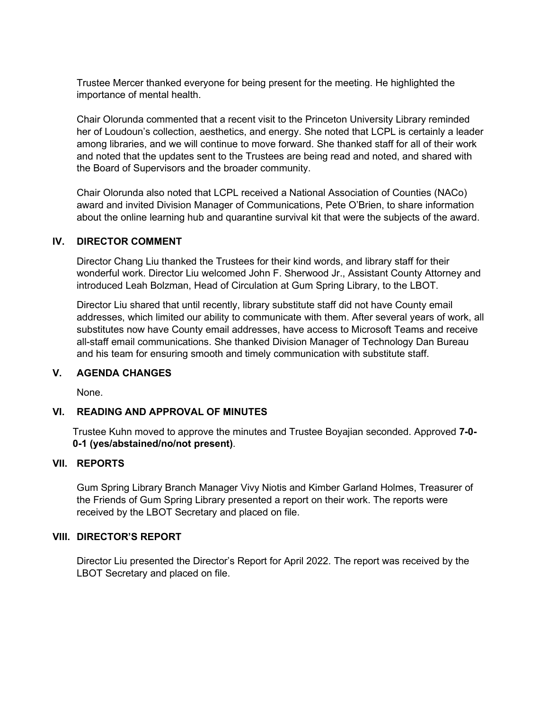Trustee Mercer thanked everyone for being present for the meeting. He highlighted the importance of mental health.

Chair Olorunda commented that a recent visit to the Princeton University Library reminded her of Loudoun's collection, aesthetics, and energy. She noted that LCPL is certainly a leader among libraries, and we will continue to move forward. She thanked staff for all of their work and noted that the updates sent to the Trustees are being read and noted, and shared with the Board of Supervisors and the broader community.

Chair Olorunda also noted that LCPL received a National Association of Counties (NACo) award and invited Division Manager of Communications, Pete O'Brien, to share information about the online learning hub and quarantine survival kit that were the subjects of the award.

#### **IV. DIRECTOR COMMENT**

Director Chang Liu thanked the Trustees for their kind words, and library staff for their wonderful work. Director Liu welcomed John F. Sherwood Jr., Assistant County Attorney and introduced Leah Bolzman, Head of Circulation at Gum Spring Library, to the LBOT.

Director Liu shared that until recently, library substitute staff did not have County email addresses, which limited our ability to communicate with them. After several years of work, all substitutes now have County email addresses, have access to Microsoft Teams and receive all-staff email communications. She thanked Division Manager of Technology Dan Bureau and his team for ensuring smooth and timely communication with substitute staff.

#### **V. AGENDA CHANGES**

None.

#### **VI. READING AND APPROVAL OF MINUTES**

Trustee Kuhn moved to approve the minutes and Trustee Boyajian seconded. Approved **7-0- 0-1 (yes/abstained/no/not present)**.

#### **VII. REPORTS**

Gum Spring Library Branch Manager Vivy Niotis and Kimber Garland Holmes, Treasurer of the Friends of Gum Spring Library presented a report on their work. The reports were received by the LBOT Secretary and placed on file.

#### **VIII. DIRECTOR'S REPORT**

Director Liu presented the Director's Report for April 2022. The report was received by the LBOT Secretary and placed on file.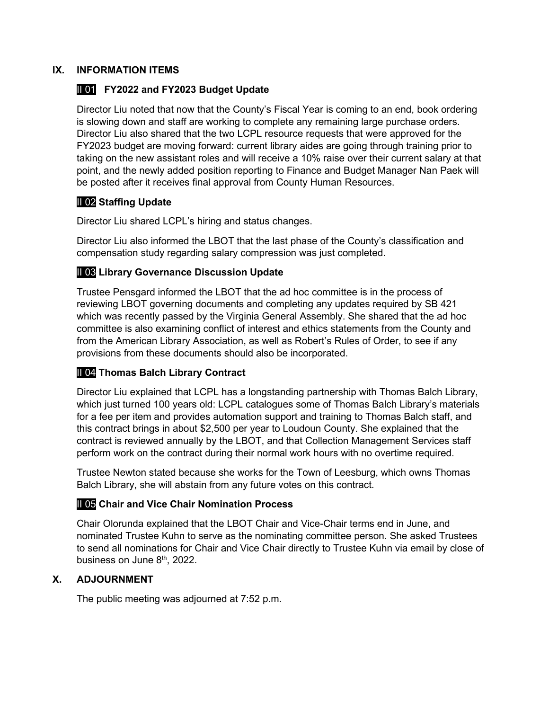#### **IX. INFORMATION ITEMS**

#### II 01 **FY2022 and FY2023 Budget Update**

Director Liu noted that now that the County's Fiscal Year is coming to an end, book ordering is slowing down and staff are working to complete any remaining large purchase orders. Director Liu also shared that the two LCPL resource requests that were approved for the FY2023 budget are moving forward: current library aides are going through training prior to taking on the new assistant roles and will receive a 10% raise over their current salary at that point, and the newly added position reporting to Finance and Budget Manager Nan Paek will be posted after it receives final approval from County Human Resources.

#### II 02 **Staffing Update**

Director Liu shared LCPL's hiring and status changes.

Director Liu also informed the LBOT that the last phase of the County's classification and compensation study regarding salary compression was just completed.

#### II 03 **Library Governance Discussion Update**

Trustee Pensgard informed the LBOT that the ad hoc committee is in the process of reviewing LBOT governing documents and completing any updates required by SB 421 which was recently passed by the Virginia General Assembly. She shared that the ad hoc committee is also examining conflict of interest and ethics statements from the County and from the American Library Association, as well as Robert's Rules of Order, to see if any provisions from these documents should also be incorporated.

#### II 04 **Thomas Balch Library Contract**

Director Liu explained that LCPL has a longstanding partnership with Thomas Balch Library, which just turned 100 years old: LCPL catalogues some of Thomas Balch Library's materials for a fee per item and provides automation support and training to Thomas Balch staff, and this contract brings in about \$2,500 per year to Loudoun County. She explained that the contract is reviewed annually by the LBOT, and that Collection Management Services staff perform work on the contract during their normal work hours with no overtime required.

Trustee Newton stated because she works for the Town of Leesburg, which owns Thomas Balch Library, she will abstain from any future votes on this contract.

#### II 05 **Chair and Vice Chair Nomination Process**

Chair Olorunda explained that the LBOT Chair and Vice-Chair terms end in June, and nominated Trustee Kuhn to serve as the nominating committee person. She asked Trustees to send all nominations for Chair and Vice Chair directly to Trustee Kuhn via email by close of business on June  $8<sup>th</sup>$ , 2022.

#### **X. ADJOURNMENT**

The public meeting was adjourned at 7:52 p.m.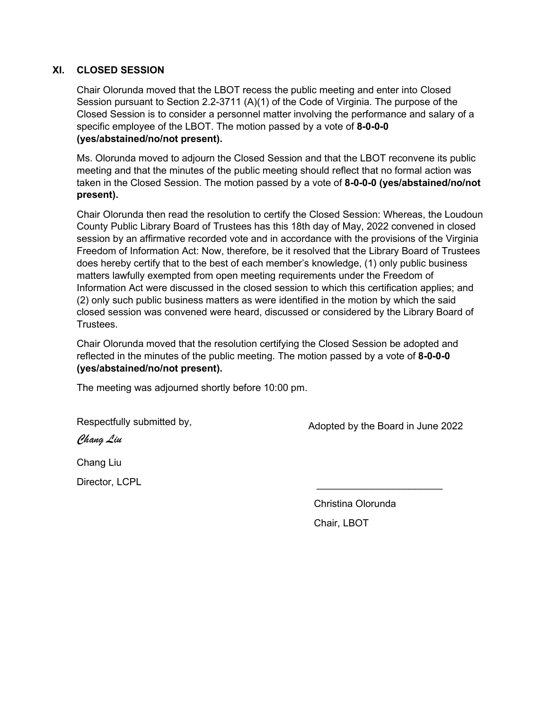#### **XI. CLOSED SESSION**

Chair Olorunda moved that the LBOT recess the public meeting and enter into Closed Session pursuant to Section 2.2-3711 (A)(1) of the Code of Virginia. The purpose of the Closed Session is to consider a personnel matter involving the performance and salary of a specific employee of the LBOT. The motion passed by a vote of **8-0-0-0 (yes/abstained/no/not present).**

Ms. Olorunda moved to adjourn the Closed Session and that the LBOT reconvene its public meeting and that the minutes of the public meeting should reflect that no formal action was taken in the Closed Session. The motion passed by a vote of **8-0-0-0 (yes/abstained/no/not present).**

Chair Olorunda then read the resolution to certify the Closed Session: Whereas, the Loudoun County Public Library Board of Trustees has this 18th day of May, 2022 convened in closed session by an affirmative recorded vote and in accordance with the provisions of the Virginia Freedom of Information Act: Now, therefore, be it resolved that the Library Board of Trustees does hereby certify that to the best of each member's knowledge, (1) only public business matters lawfully exempted from open meeting requirements under the Freedom of Information Act were discussed in the closed session to which this certification applies; and (2) only such public business matters as were identified in the motion by which the said closed session was convened were heard, discussed or considered by the Library Board of **Trustees** 

Chair Olorunda moved that the resolution certifying the Closed Session be adopted and reflected in the minutes of the public meeting. The motion passed by a vote of **8-0-0-0 (yes/abstained/no/not present).**

The meeting was adjourned shortly before 10:00 pm.

Respectfully submitted by,

Adopted by the Board in June 2022

 $\overline{\phantom{a}}$  ,  $\overline{\phantom{a}}$  ,  $\overline{\phantom{a}}$  ,  $\overline{\phantom{a}}$  ,  $\overline{\phantom{a}}$  ,  $\overline{\phantom{a}}$  ,  $\overline{\phantom{a}}$  ,  $\overline{\phantom{a}}$  ,  $\overline{\phantom{a}}$  ,  $\overline{\phantom{a}}$  ,  $\overline{\phantom{a}}$  ,  $\overline{\phantom{a}}$  ,  $\overline{\phantom{a}}$  ,  $\overline{\phantom{a}}$  ,  $\overline{\phantom{a}}$  ,  $\overline{\phantom{a}}$ 

Chang Liu

Chang Liu

Director, LCPL

 Christina Olorunda Chair, LBOT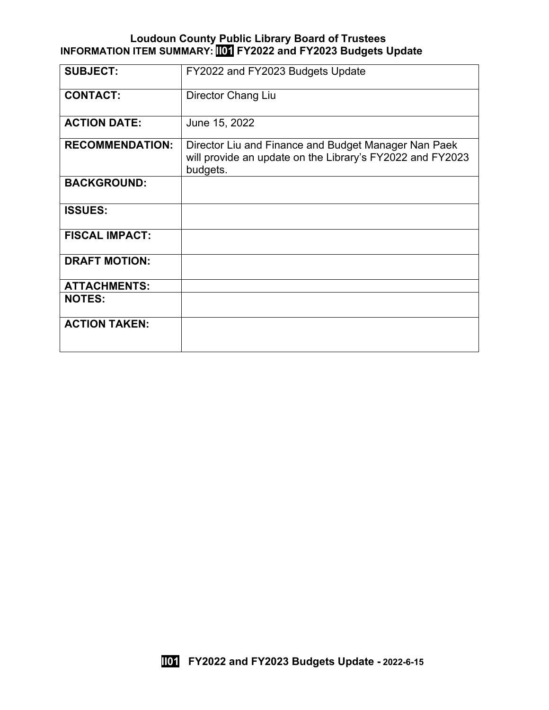#### **Loudoun County Public Library Board of Trustees INFORMATION ITEM SUMMARY: II01 FY2022 and FY2023 Budgets Update**

| <b>SUBJECT:</b>        | FY2022 and FY2023 Budgets Update                                                                                              |
|------------------------|-------------------------------------------------------------------------------------------------------------------------------|
| <b>CONTACT:</b>        | Director Chang Liu                                                                                                            |
| <b>ACTION DATE:</b>    | June 15, 2022                                                                                                                 |
| <b>RECOMMENDATION:</b> | Director Liu and Finance and Budget Manager Nan Paek<br>will provide an update on the Library's FY2022 and FY2023<br>budgets. |
| <b>BACKGROUND:</b>     |                                                                                                                               |
| <b>ISSUES:</b>         |                                                                                                                               |
| <b>FISCAL IMPACT:</b>  |                                                                                                                               |
| <b>DRAFT MOTION:</b>   |                                                                                                                               |
| <b>ATTACHMENTS:</b>    |                                                                                                                               |
| <b>NOTES:</b>          |                                                                                                                               |
| <b>ACTION TAKEN:</b>   |                                                                                                                               |

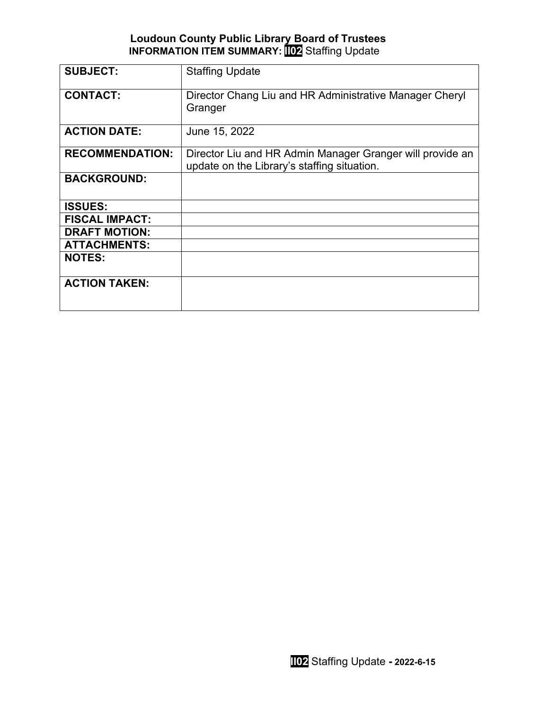# **Loudoun County Public Library Board of Trustees INFORMATION ITEM SUMMARY: II02** Staffing Update

| <b>SUBJECT:</b>        | <b>Staffing Update</b>                                                                                   |
|------------------------|----------------------------------------------------------------------------------------------------------|
| <b>CONTACT:</b>        | Director Chang Liu and HR Administrative Manager Cheryl<br>Granger                                       |
| <b>ACTION DATE:</b>    | June 15, 2022                                                                                            |
| <b>RECOMMENDATION:</b> | Director Liu and HR Admin Manager Granger will provide an<br>update on the Library's staffing situation. |
| <b>BACKGROUND:</b>     |                                                                                                          |
| <b>ISSUES:</b>         |                                                                                                          |
| <b>FISCAL IMPACT:</b>  |                                                                                                          |
| <b>DRAFT MOTION:</b>   |                                                                                                          |
| <b>ATTACHMENTS:</b>    |                                                                                                          |
| <b>NOTES:</b>          |                                                                                                          |
| <b>ACTION TAKEN:</b>   |                                                                                                          |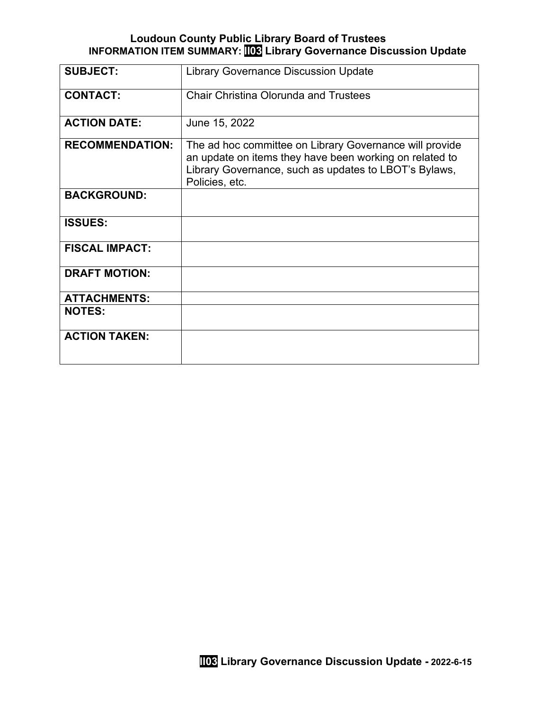#### **Loudoun County Public Library Board of Trustees INFORMATION ITEM SUMMARY: II03 Library Governance Discussion Update**

| <b>SUBJECT:</b>        | <b>Library Governance Discussion Update</b>                                                                                                                                                   |
|------------------------|-----------------------------------------------------------------------------------------------------------------------------------------------------------------------------------------------|
| <b>CONTACT:</b>        | <b>Chair Christina Olorunda and Trustees</b>                                                                                                                                                  |
| <b>ACTION DATE:</b>    | June 15, 2022                                                                                                                                                                                 |
| <b>RECOMMENDATION:</b> | The ad hoc committee on Library Governance will provide<br>an update on items they have been working on related to<br>Library Governance, such as updates to LBOT's Bylaws,<br>Policies, etc. |
| <b>BACKGROUND:</b>     |                                                                                                                                                                                               |
| <b>ISSUES:</b>         |                                                                                                                                                                                               |
| <b>FISCAL IMPACT:</b>  |                                                                                                                                                                                               |
| <b>DRAFT MOTION:</b>   |                                                                                                                                                                                               |
| <b>ATTACHMENTS:</b>    |                                                                                                                                                                                               |
| <b>NOTES:</b>          |                                                                                                                                                                                               |
| <b>ACTION TAKEN:</b>   |                                                                                                                                                                                               |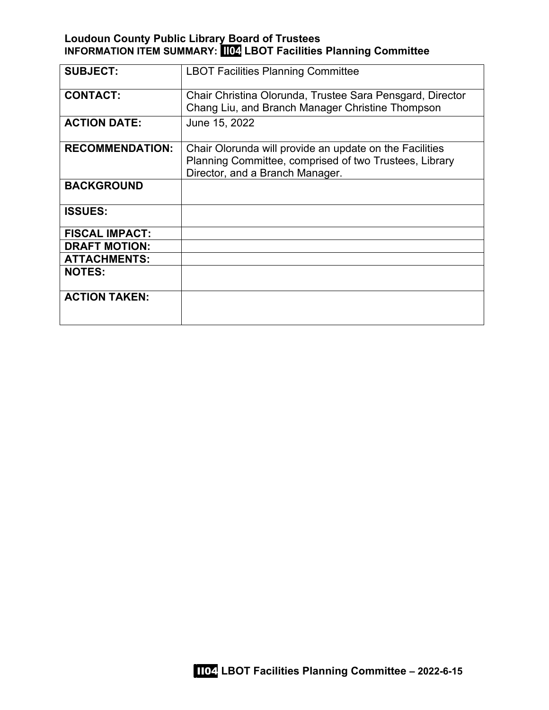# **Loudoun County Public Library Board of Trustees INFORMATION ITEM SUMMARY: II04 LBOT Facilities Planning Committee**

| <b>SUBJECT:</b>        | <b>LBOT Facilities Planning Committee</b>                                                                                                            |
|------------------------|------------------------------------------------------------------------------------------------------------------------------------------------------|
| <b>CONTACT:</b>        | Chair Christina Olorunda, Trustee Sara Pensgard, Director<br>Chang Liu, and Branch Manager Christine Thompson                                        |
| <b>ACTION DATE:</b>    | June 15, 2022                                                                                                                                        |
| <b>RECOMMENDATION:</b> | Chair Olorunda will provide an update on the Facilities<br>Planning Committee, comprised of two Trustees, Library<br>Director, and a Branch Manager. |
| <b>BACKGROUND</b>      |                                                                                                                                                      |
| <b>ISSUES:</b>         |                                                                                                                                                      |
| <b>FISCAL IMPACT:</b>  |                                                                                                                                                      |
| <b>DRAFT MOTION:</b>   |                                                                                                                                                      |
| <b>ATTACHMENTS:</b>    |                                                                                                                                                      |
| <b>NOTES:</b>          |                                                                                                                                                      |
| <b>ACTION TAKEN:</b>   |                                                                                                                                                      |

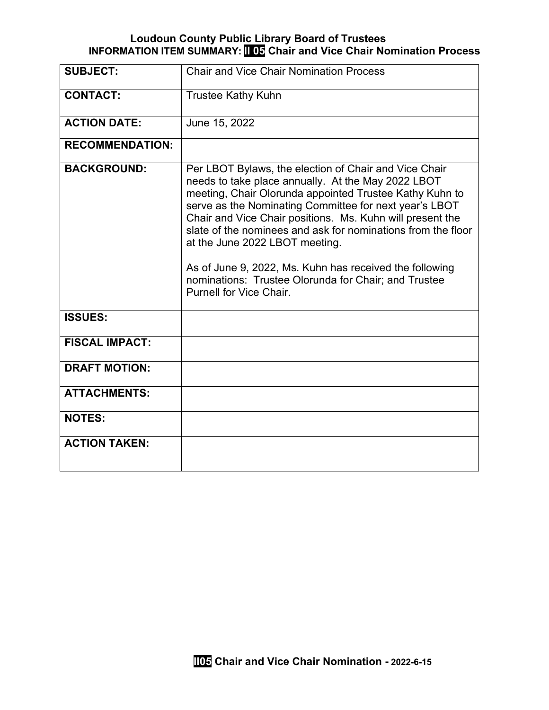### **Loudoun County Public Library Board of Trustees INFORMATION ITEM SUMMARY: II 05 Chair and Vice Chair Nomination Process**

| <b>SUBJECT:</b>        | <b>Chair and Vice Chair Nomination Process</b>                                                                                                                                                                                                                                                                                                                                                                                                                                                                                                |
|------------------------|-----------------------------------------------------------------------------------------------------------------------------------------------------------------------------------------------------------------------------------------------------------------------------------------------------------------------------------------------------------------------------------------------------------------------------------------------------------------------------------------------------------------------------------------------|
| <b>CONTACT:</b>        | <b>Trustee Kathy Kuhn</b>                                                                                                                                                                                                                                                                                                                                                                                                                                                                                                                     |
| <b>ACTION DATE:</b>    | June 15, 2022                                                                                                                                                                                                                                                                                                                                                                                                                                                                                                                                 |
| <b>RECOMMENDATION:</b> |                                                                                                                                                                                                                                                                                                                                                                                                                                                                                                                                               |
| <b>BACKGROUND:</b>     | Per LBOT Bylaws, the election of Chair and Vice Chair<br>needs to take place annually. At the May 2022 LBOT<br>meeting, Chair Olorunda appointed Trustee Kathy Kuhn to<br>serve as the Nominating Committee for next year's LBOT<br>Chair and Vice Chair positions. Ms. Kuhn will present the<br>slate of the nominees and ask for nominations from the floor<br>at the June 2022 LBOT meeting.<br>As of June 9, 2022, Ms. Kuhn has received the following<br>nominations: Trustee Olorunda for Chair; and Trustee<br>Purnell for Vice Chair. |
| <b>ISSUES:</b>         |                                                                                                                                                                                                                                                                                                                                                                                                                                                                                                                                               |
| <b>FISCAL IMPACT:</b>  |                                                                                                                                                                                                                                                                                                                                                                                                                                                                                                                                               |
| <b>DRAFT MOTION:</b>   |                                                                                                                                                                                                                                                                                                                                                                                                                                                                                                                                               |
| <b>ATTACHMENTS:</b>    |                                                                                                                                                                                                                                                                                                                                                                                                                                                                                                                                               |
| <b>NOTES:</b>          |                                                                                                                                                                                                                                                                                                                                                                                                                                                                                                                                               |
| <b>ACTION TAKEN:</b>   |                                                                                                                                                                                                                                                                                                                                                                                                                                                                                                                                               |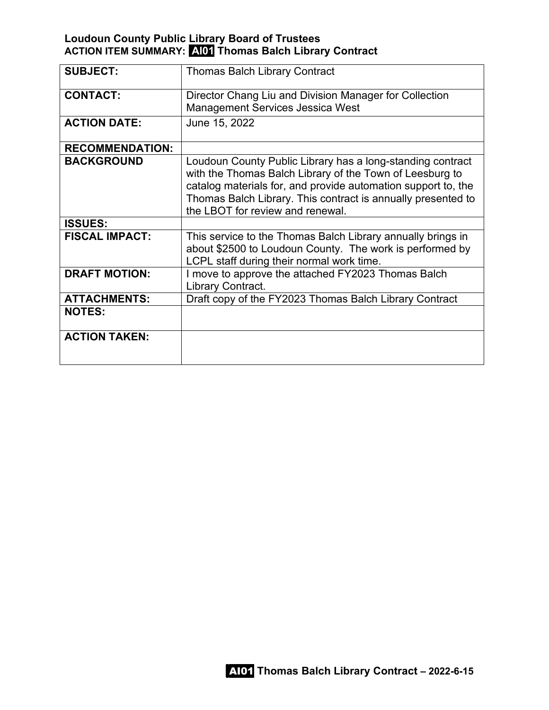# **Loudoun County Public Library Board of Trustees ACTION ITEM SUMMARY: AI01 Thomas Balch Library Contract**

| <b>SUBJECT:</b>        | <b>Thomas Balch Library Contract</b>                                                                                                                                                                                                                                                        |
|------------------------|---------------------------------------------------------------------------------------------------------------------------------------------------------------------------------------------------------------------------------------------------------------------------------------------|
| <b>CONTACT:</b>        | Director Chang Liu and Division Manager for Collection<br><b>Management Services Jessica West</b>                                                                                                                                                                                           |
| <b>ACTION DATE:</b>    | June 15, 2022                                                                                                                                                                                                                                                                               |
| <b>RECOMMENDATION:</b> |                                                                                                                                                                                                                                                                                             |
| <b>BACKGROUND</b>      | Loudoun County Public Library has a long-standing contract<br>with the Thomas Balch Library of the Town of Leesburg to<br>catalog materials for, and provide automation support to, the<br>Thomas Balch Library. This contract is annually presented to<br>the LBOT for review and renewal. |
| <b>ISSUES:</b>         |                                                                                                                                                                                                                                                                                             |
| <b>FISCAL IMPACT:</b>  | This service to the Thomas Balch Library annually brings in<br>about \$2500 to Loudoun County. The work is performed by<br>LCPL staff during their normal work time.                                                                                                                        |
| <b>DRAFT MOTION:</b>   | I move to approve the attached FY2023 Thomas Balch<br>Library Contract.                                                                                                                                                                                                                     |
| <b>ATTACHMENTS:</b>    | Draft copy of the FY2023 Thomas Balch Library Contract                                                                                                                                                                                                                                      |
| <b>NOTES:</b>          |                                                                                                                                                                                                                                                                                             |
| <b>ACTION TAKEN:</b>   |                                                                                                                                                                                                                                                                                             |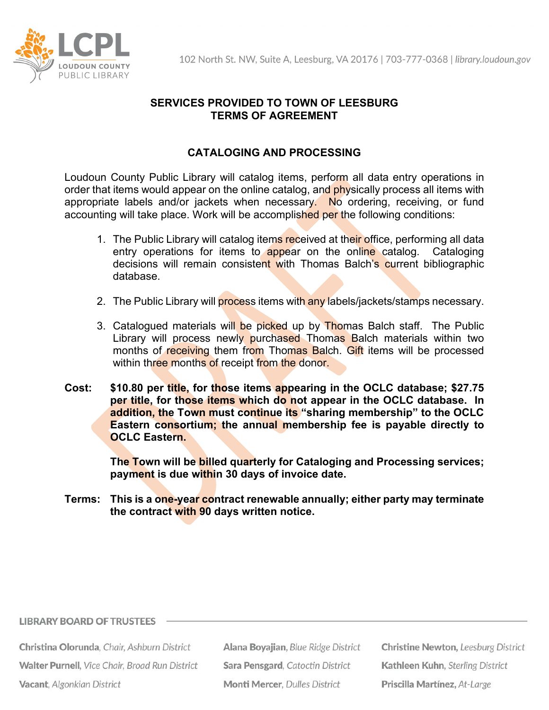

# **SERVICES PROVIDED TO TOWN OF LEESBURG TERMS OF AGREEMENT**

# **CATALOGING AND PROCESSING**

Loudoun County Public Library will catalog items, perform all data entry operations in order that items would appear on the online catalog, and physically process all items with appropriate labels and/or jackets when necessary. No ordering, receiving, or fund accounting will take place. Work will be accomplished per the following conditions:

- 1. The Public Library will catalog items received at their office, performing all data entry operations for items to appear on the online catalog. Cataloging decisions will remain consistent with Thomas Balch's current bibliographic database.
- 2. The Public Library will process items with any labels/jackets/stamps necessary.
- 3. Catalogued materials will be picked up by Thomas Balch staff. The Public Library will process newly purchased Thomas Balch materials within two months of receiving them from Thomas Balch. Gift items will be processed within three months of receipt from the donor.
- **Cost: \$10.80 per title, for those items appearing in the OCLC database; \$27.75 per title, for those items which do not appear in the OCLC database. In addition, the Town must continue its "sharing membership" to the OCLC Eastern consortium; the annual membership fee is payable directly to OCLC Eastern.**

**The Town will be billed quarterly for Cataloging and Processing services; payment is due within 30 days of invoice date.**

**Terms: This is a one-year contract renewable annually; either party may terminate the contract with 90 days written notice.**

#### **LIBRARY BOARD OF TRUSTEES**

Christina Olorunda, Chair, Ashburn District Walter Purnell, Vice Chair, Broad Run District Vacant, Algonkian District

Alana Boyajian, Blue Ridge District Sara Pensgard, Catoctin District **Monti Mercer, Dulles District** 

**Christine Newton, Leesburg District** Kathleen Kuhn, Sterling District Priscilla Martínez, At-Large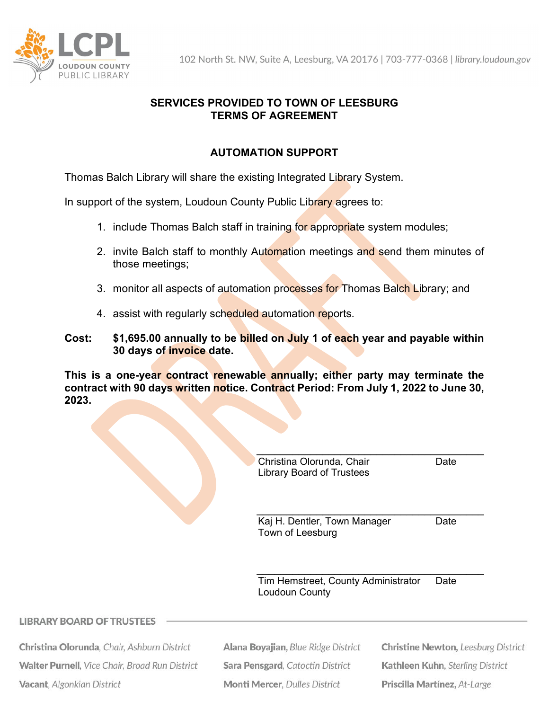

102 North St. NW, Suite A, Leesburg, VA 20176 | 703-777-0368 | library.loudoun.gov

# **SERVICES PROVIDED TO TOWN OF LEESBURG TERMS OF AGREEMENT**

# **AUTOMATION SUPPORT**

Thomas Balch Library will share the existing Integrated Library System.

In support of the system, Loudoun County Public Library agrees to:

- 1. include Thomas Balch staff in training for appropriate system modules;
- 2. invite Balch staff to monthly Automation meetings and send them minutes of those meetings;
- 3. monitor all aspects of automation processes for Thomas Balch Library; and
- 4. assist with regularly scheduled automation reports.
- **Cost: \$1,695.00 annually to be billed on July 1 of each year and payable within 30 days of invoice date.**

**This is a one-year contract renewable annually; either party may terminate the contract with 90 days written notice. Contract Period: From July 1, 2022 to June 30, 2023.**

| Christina Olorunda, Chair | Date |
|---------------------------|------|
| Library Board of Trustees |      |

\_\_\_\_\_\_\_\_\_\_\_\_\_\_\_\_\_\_\_\_\_\_\_\_\_\_\_\_\_\_\_\_\_\_\_\_\_\_ Kaj H. Dentler, Town Manager Date Town of Leesburg

Tim Hemstreet, County Administrator Date Loudoun County

\_\_\_\_\_\_\_\_\_\_\_\_\_\_\_\_\_\_\_\_\_\_\_\_\_\_\_\_\_\_\_\_\_\_\_\_\_\_

### **LIBRARY BOARD OF TRUSTEES**

Christina Olorunda, Chair, Ashburn District Walter Purnell, Vice Chair, Broad Run District Vacant, Algonkian District

Alana Boyajian, Blue Ridge District Sara Pensgard, Catoctin District **Monti Mercer, Dulles District** 

**Christine Newton, Leesburg District** Kathleen Kuhn, Sterling District Priscilla Martínez, At-Large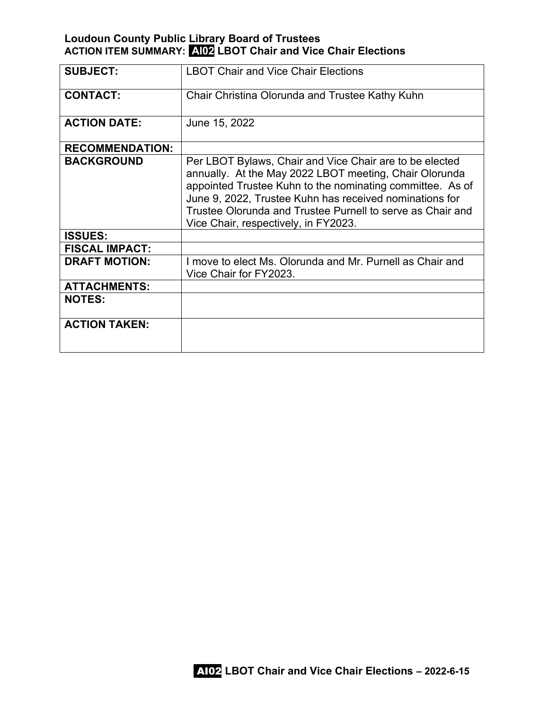# **Loudoun County Public Library Board of Trustees ACTION ITEM SUMMARY: AI02 LBOT Chair and Vice Chair Elections**

| <b>SUBJECT:</b>        | <b>LBOT Chair and Vice Chair Elections</b>                                                                                                                                                                                                                                                                                                      |
|------------------------|-------------------------------------------------------------------------------------------------------------------------------------------------------------------------------------------------------------------------------------------------------------------------------------------------------------------------------------------------|
| <b>CONTACT:</b>        | Chair Christina Olorunda and Trustee Kathy Kuhn                                                                                                                                                                                                                                                                                                 |
| <b>ACTION DATE:</b>    | June 15, 2022                                                                                                                                                                                                                                                                                                                                   |
| <b>RECOMMENDATION:</b> |                                                                                                                                                                                                                                                                                                                                                 |
| <b>BACKGROUND</b>      | Per LBOT Bylaws, Chair and Vice Chair are to be elected<br>annually. At the May 2022 LBOT meeting, Chair Olorunda<br>appointed Trustee Kuhn to the nominating committee. As of<br>June 9, 2022, Trustee Kuhn has received nominations for<br>Trustee Olorunda and Trustee Purnell to serve as Chair and<br>Vice Chair, respectively, in FY2023. |
| <b>ISSUES:</b>         |                                                                                                                                                                                                                                                                                                                                                 |
| <b>FISCAL IMPACT:</b>  |                                                                                                                                                                                                                                                                                                                                                 |
| <b>DRAFT MOTION:</b>   | I move to elect Ms. Olorunda and Mr. Purnell as Chair and<br>Vice Chair for FY2023.                                                                                                                                                                                                                                                             |
| <b>ATTACHMENTS:</b>    |                                                                                                                                                                                                                                                                                                                                                 |
| <b>NOTES:</b>          |                                                                                                                                                                                                                                                                                                                                                 |
| <b>ACTION TAKEN:</b>   |                                                                                                                                                                                                                                                                                                                                                 |

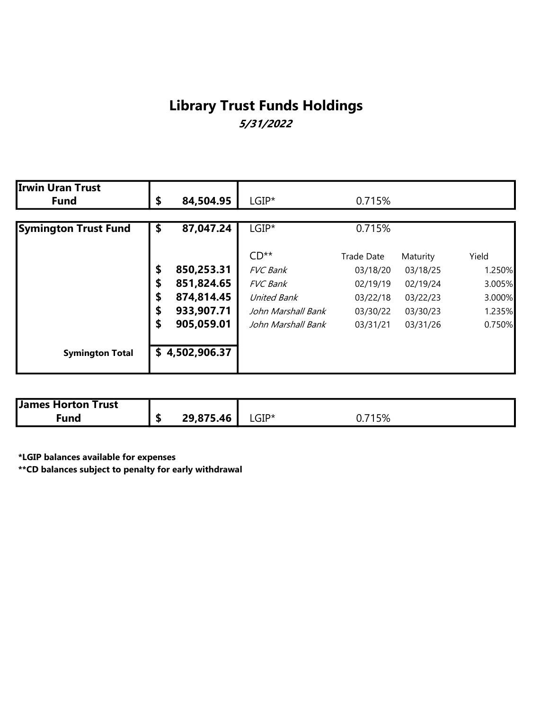# Library Trust Funds Holdings 5/31/2022

| <b>Irwin Uran Trust</b>     |                  |                    |            |          |        |
|-----------------------------|------------------|--------------------|------------|----------|--------|
| <b>Fund</b>                 | \$<br>84,504.95  | $LGIP^*$           | 0.715%     |          |        |
| <b>Symington Trust Fund</b> | \$<br>87,047.24  | $LGIP^*$           | 0.715%     |          |        |
|                             |                  | $CD**$             | Trade Date | Maturity | Yield  |
|                             | \$<br>850,253.31 | <b>FVC Bank</b>    | 03/18/20   | 03/18/25 | 1.250% |
|                             | \$<br>851,824.65 | <b>FVC</b> Bank    | 02/19/19   | 02/19/24 | 3.005% |
|                             | \$<br>874,814.45 | United Bank        | 03/22/18   | 03/22/23 | 3.000% |
|                             | \$<br>933,907.71 | John Marshall Bank | 03/30/22   | 03/30/23 | 1.235% |
|                             | \$<br>905,059.01 | John Marshall Bank | 03/31/21   | 03/31/26 | 0.750% |
| <b>Symington Total</b>      | \$4,502,906.37   |                    |            |          |        |

| <b>James Horton Trust</b> |           |                       |                                            |
|---------------------------|-----------|-----------------------|--------------------------------------------|
| Fund                      | 29,875.46 | $\mathsf{LGIP}^\star$ | 1 $E0/$<br>$\overline{\phantom{a}}$<br>57a |

\*LGIP balances available for expenses

\*\*CD balances subject to penalty for early withdrawal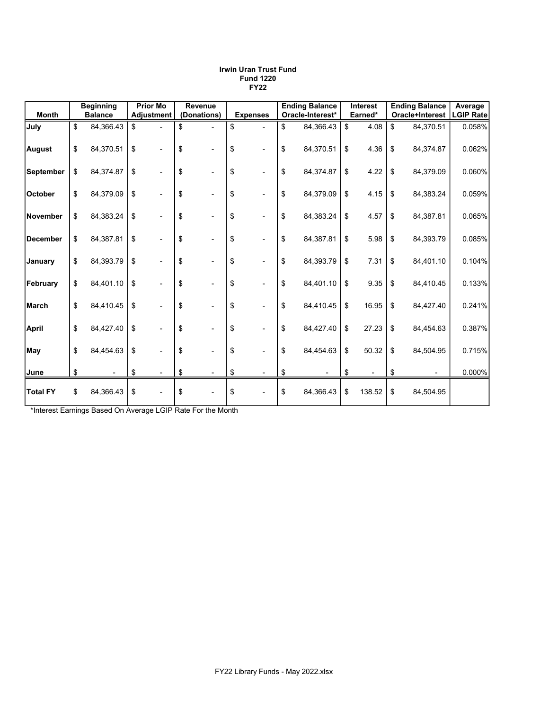|                  | <b>Beginning</b> | <b>Prior Mo</b>                | <b>Revenue</b> |                 | <b>Ending Balance</b> | <b>Interest</b> | <b>Ending Balance</b> | Average          |
|------------------|------------------|--------------------------------|----------------|-----------------|-----------------------|-----------------|-----------------------|------------------|
| <b>Month</b>     | <b>Balance</b>   | <b>Adjustment</b>              | (Donations)    | <b>Expenses</b> | Oracle-Interest*      | Earned*         | Oracle+Interest       | <b>LGIP Rate</b> |
| July             | \$<br>84,366.43  | \$                             | \$             | \$              | \$<br>84,366.43       | \$<br>4.08      | \$<br>84,370.51       | 0.058%           |
| <b>August</b>    | \$<br>84,370.51  | \$                             | \$             | \$              | \$<br>84,370.51       | \$<br>4.36      | \$<br>84,374.87       | 0.062%           |
| <b>September</b> | \$<br>84,374.87  | \$                             | \$             | \$              | \$<br>84,374.87       | \$<br>4.22      | \$<br>84,379.09       | 0.060%           |
| <b>October</b>   | \$<br>84,379.09  | \$                             | \$             | \$              | \$<br>84,379.09       | \$<br>4.15      | \$<br>84,383.24       | 0.059%           |
| November         | \$<br>84,383.24  | \$                             | \$             | \$              | \$<br>84,383.24       | \$<br>4.57      | \$<br>84,387.81       | 0.065%           |
| <b>December</b>  | \$<br>84,387.81  | \$<br>$\overline{\phantom{a}}$ | \$             | \$              | \$<br>84,387.81       | \$<br>5.98      | \$<br>84,393.79       | 0.085%           |
| January          | \$<br>84,393.79  | \$                             | \$             | \$              | \$<br>84,393.79       | \$<br>7.31      | \$<br>84,401.10       | 0.104%           |
| February         | \$<br>84,401.10  | \$                             | \$             | \$              | \$<br>84,401.10       | \$<br>9.35      | \$<br>84,410.45       | 0.133%           |
| March            | \$<br>84,410.45  | \$                             | \$             | \$              | \$<br>84,410.45       | \$<br>16.95     | \$<br>84,427.40       | 0.241%           |
| <b>April</b>     | \$<br>84,427.40  | \$<br>٠                        | \$             | \$              | \$<br>84,427.40       | \$<br>27.23     | \$<br>84,454.63       | 0.387%           |
| May              | \$<br>84,454.63  | \$                             | \$             | \$              | \$<br>84,454.63       | \$<br>50.32     | \$<br>84,504.95       | 0.715%           |
| June             | \$<br>٠          | \$                             | \$             | \$              | \$                    | \$              | \$                    | 0.000%           |
| <b>Total FY</b>  | \$<br>84,366.43  | \$<br>٠                        | \$             | \$              | \$<br>84,366.43       | \$<br>138.52    | \$<br>84,504.95       |                  |

#### Irwin Uran Trust Fund Fund 1220 FY22

\*Interest Earnings Based On Average LGIP Rate For the Month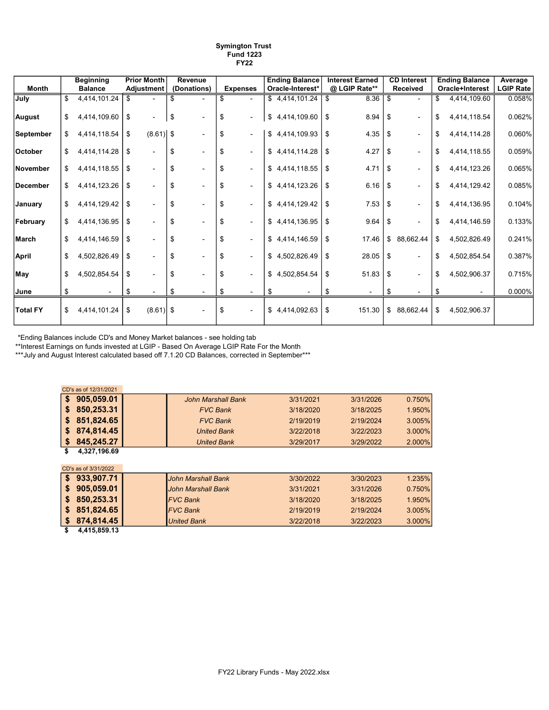| Symington Trust  |
|------------------|
| <b>Fund 1223</b> |
| <b>FY22</b>      |

|                | <b>Beginning</b>   | <b>Prior Month</b> |     | Revenue     |    |                 | <b>Ending Balance</b> | <b>Interest Earned</b> |     | <b>CD Interest</b>       | <b>Ending Balance</b> | Average          |
|----------------|--------------------|--------------------|-----|-------------|----|-----------------|-----------------------|------------------------|-----|--------------------------|-----------------------|------------------|
| Month          | <b>Balance</b>     | Adjustment         |     | (Donations) |    | <b>Expenses</b> | Oracle-Interest*      | @ LGIP Rate**          |     | <b>Received</b>          | Oracle+Interest       | <b>LGIP Rate</b> |
| July           | 4,414,101.24       | \$                 |     |             | S  |                 | \$4,414,101.24        | \$<br>8.36             | \$  |                          | \$<br>4,414,109.60    | 0.058%           |
| <b>August</b>  | \$<br>4,414,109.60 | \$                 | \$  |             | \$ | ٠               | \$4,414,109.60        | \$<br>8.94             | ∣\$ |                          | \$<br>4,414,118.54    | 0.062%           |
| September      | \$<br>4,414,118.54 | \$<br>$(8.61)$ \$  |     |             | \$ | $\blacksquare$  | \$4,414,109.93        | \$<br>4.35             | \$  | $\overline{\phantom{a}}$ | \$<br>4,414,114.28    | 0.060%           |
| <b>October</b> | 4,414,114.28       | \$                 | \$  |             | \$ | $\sim$          | \$4,414,114.28        | \$<br>4.27             | \$  | $\overline{\phantom{0}}$ | \$<br>4,414,118.55    | 0.059%           |
| November       | \$<br>4,414,118.55 | \$                 | \$  |             | \$ |                 | \$4,414,118.55        | \$<br>4.71             | \$  |                          | \$<br>4,414,123.26    | 0.065%           |
| December       | \$<br>4,414,123.26 | \$                 | \$  |             | \$ |                 | \$4,414,123.26        | \$<br>6.16             | \$  | $\blacksquare$           | \$<br>4,414,129.42    | 0.085%           |
| January        | \$<br>4,414,129.42 | \$                 | \$. |             | \$ |                 | \$4,414,129.42        | \$<br>7.53             | \$  | $\overline{\phantom{a}}$ | \$<br>4,414,136.95    | 0.104%           |
| February       | \$<br>4,414,136.95 | \$                 | \$  |             | \$ |                 | \$4,414,136.95        | \$<br>9.64             | \$  | $\blacksquare$           | \$<br>4,414,146.59    | 0.133%           |
| March          | \$<br>4,414,146.59 | \$                 | \$  |             | \$ |                 | \$4,414,146.59        | \$<br>17.46            |     | \$ 88,662.44             | \$<br>4,502,826.49    | 0.241%           |
| <b>April</b>   | \$<br>4,502,826.49 | \$                 | \$  |             | \$ |                 | \$4,502,826.49        | \$<br>28.05            | \$  | $\blacksquare$           | \$<br>4,502,854.54    | 0.387%           |
| May            | \$<br>4,502,854.54 | \$                 | \$. |             | \$ |                 | \$4,502,854.54        | \$<br>51.83            | \$  | $\blacksquare$           | \$<br>4,502,906.37    | 0.715%           |
| ∣June          |                    | \$                 | \$  |             | \$ |                 |                       |                        | \$  | $\overline{\phantom{a}}$ | \$                    | 0.000%           |
| Total FY       | \$<br>4,414,101.24 | \$<br>$(8.61)$ \$  |     |             | \$ | $\blacksquare$  | \$4,414,092.63        | \$<br>151.30           |     | \$ 88,662.44             | \$<br>4,502,906.37    |                  |

\*Ending Balances include CD's and Money Market balances - see holding tab

\*\*Interest Earnings on funds invested at LGIP - Based On Average LGIP Rate For the Month

\*\*\*July and August Interest calculated based off 7.1.20 CD Balances, corrected in September\*\*\*

|     | CD's as of 12/31/2021 |                           |           |           |        |
|-----|-----------------------|---------------------------|-----------|-----------|--------|
| \$  | 905,059.01            | <b>John Marshall Bank</b> | 3/31/2021 | 3/31/2026 | 0.750% |
| \$  | 850,253.31            | <b>FVC Bank</b>           | 3/18/2020 | 3/18/2025 | 1.950% |
| \$  | 851,824.65            | <b>FVC Bank</b>           | 2/19/2019 | 2/19/2024 | 3.005% |
| \$  | 874,814.45            | <b>United Bank</b>        | 3/22/2018 | 3/22/2023 | 3.000% |
| \$  | 845,245.27            | <b>United Bank</b>        | 3/29/2017 | 3/29/2022 | 2.000% |
| \$  | 4,327,196.69          |                           |           |           |        |
|     |                       |                           |           |           |        |
|     | CD's as of 3/31/2022  |                           |           |           |        |
| \$. | 933,907.71            | John Marshall Bank        | 3/30/2022 | 3/30/2023 | 1.235% |
| \$  | 905,059.01            | <b>John Marshall Bank</b> | 3/31/2021 | 3/31/2026 | 0.750% |
| \$  | 850,253.31            | <b>FVC Bank</b>           | 3/18/2020 | 3/18/2025 | 1.950% |
| \$  | 851,824.65            | <b>FVC Bank</b>           | 2/19/2019 | 2/19/2024 | 3.005% |
| \$  | 874,814.45            | <b>United Bank</b>        | 3/22/2018 | 3/22/2023 | 3.000% |

 $$ 4,415,859.13$